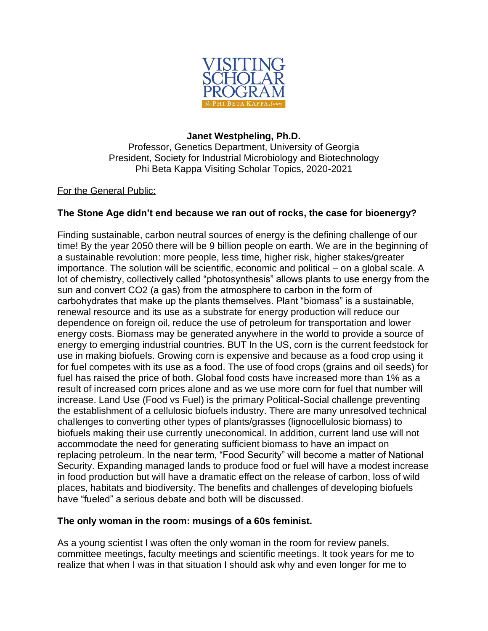

## **Janet Westpheling, Ph.D.**

Professor, Genetics Department, University of Georgia President, Society for Industrial Microbiology and Biotechnology Phi Beta Kappa Visiting Scholar Topics, 2020-2021

## For the General Public:

## **The Stone Age didn't end because we ran out of rocks, the case for bioenergy?**

Finding sustainable, carbon neutral sources of energy is the defining challenge of our time! By the year 2050 there will be 9 billion people on earth. We are in the beginning of a sustainable revolution: more people, less time, higher risk, higher stakes/greater importance. The solution will be scientific, economic and political – on a global scale. A lot of chemistry, collectively called "photosynthesis" allows plants to use energy from the sun and convert CO2 (a gas) from the atmosphere to carbon in the form of carbohydrates that make up the plants themselves. Plant "biomass" is a sustainable, renewal resource and its use as a substrate for energy production will reduce our dependence on foreign oil, reduce the use of petroleum for transportation and lower energy costs. Biomass may be generated anywhere in the world to provide a source of energy to emerging industrial countries. BUT In the US, corn is the current feedstock for use in making biofuels. Growing corn is expensive and because as a food crop using it for fuel competes with its use as a food. The use of food crops (grains and oil seeds) for fuel has raised the price of both. Global food costs have increased more than 1% as a result of increased corn prices alone and as we use more corn for fuel that number will increase. Land Use (Food vs Fuel) is the primary Political-Social challenge preventing the establishment of a cellulosic biofuels industry. There are many unresolved technical challenges to converting other types of plants/grasses (lignocellulosic biomass) to biofuels making their use currently uneconomical. In addition, current land use will not accommodate the need for generating sufficient biomass to have an impact on replacing petroleum. In the near term, "Food Security" will become a matter of National Security. Expanding managed lands to produce food or fuel will have a modest increase in food production but will have a dramatic effect on the release of carbon, loss of wild places, habitats and biodiversity. The benefits and challenges of developing biofuels have "fueled" a serious debate and both will be discussed.

## **The only woman in the room: musings of a 60s feminist.**

As a young scientist I was often the only woman in the room for review panels, committee meetings, faculty meetings and scientific meetings. It took years for me to realize that when I was in that situation I should ask why and even longer for me to